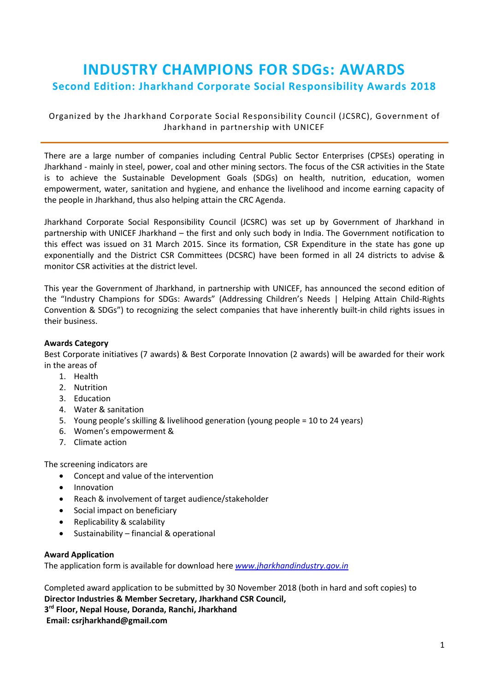# **INDUSTRY CHAMPIONS FOR SDGs: AWARDS Second Edition: Jharkhand Corporate Social Responsibility Awards 2018**

Organized by the Jharkhand Corporate Social Responsibility Council (JCSRC), Government of Jharkhand in partnership with UNICEF

There are a large number of companies including Central Public Sector Enterprises (CPSEs) operating in Jharkhand - mainly in steel, power, coal and other mining sectors. The focus of the CSR activities in the State is to achieve the Sustainable Development Goals (SDGs) on health, nutrition, education, women empowerment, water, sanitation and hygiene, and enhance the livelihood and income earning capacity of the people in Jharkhand, thus also helping attain the CRC Agenda.

Jharkhand Corporate Social Responsibility Council (JCSRC) was set up by Government of Jharkhand in partnership with UNICEF Jharkhand – the first and only such body in India. The Government notification to this effect was issued on 31 March 2015. Since its formation, CSR Expenditure in the state has gone up exponentially and the District CSR Committees (DCSRC) have been formed in all 24 districts to advise & monitor CSR activities at the district level.

This year the Government of Jharkhand, in partnership with UNICEF, has announced the second edition of the "Industry Champions for SDGs: Awards" (Addressing Children's Needs | Helping Attain Child-Rights Convention & SDGs") to recognizing the select companies that have inherently built-in child rights issues in their business.

## **Awards Category**

Best Corporate initiatives (7 awards) & Best Corporate Innovation (2 awards) will be awarded for their work in the areas of

- 1. Health
- 2. Nutrition
- 3. Education
- 4. Water & sanitation
- 5. Young people's skilling & livelihood generation (young people = 10 to 24 years)
- 6. Women's empowerment &
- 7. Climate action

The screening indicators are

- Concept and value of the intervention
- Innovation
- Reach & involvement of target audience/stakeholder
- Social impact on beneficiary
- Replicability & scalability
- Sustainability financial & operational

#### **Award Application**

The application form is available for download here *[www.jharkhandindustry.gov.in](http://www.jharkhandindustry.gov.in/)*

Completed award application to be submitted by 30 November 2018 (both in hard and soft copies) to **Director Industries & Member Secretary, Jharkhand CSR Council, 3 rd Floor, Nepal House, Doranda, Ranchi, Jharkhand Email: csrjharkhand@gmail.com**